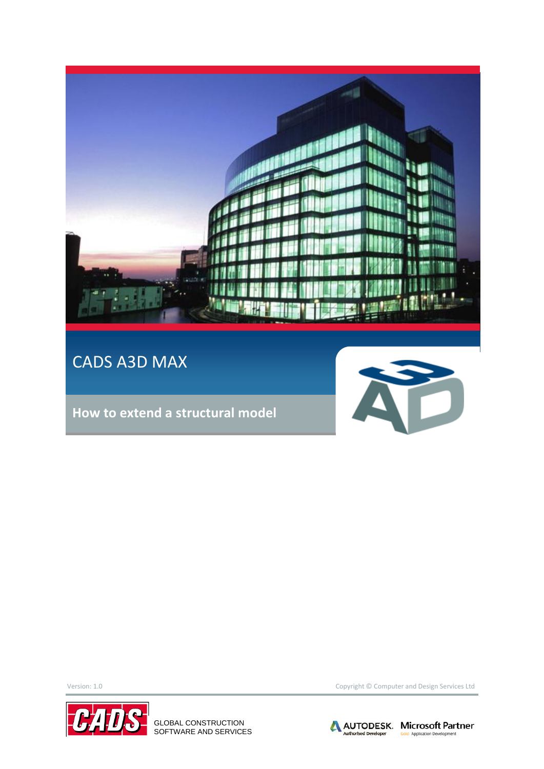

### CADS A3D MAX

**How to extend a structural model**





GLOBAL CONSTRUCTION SOFTWARE AND SERVICES

Version: 1.0 Copyright © Computer and Design Services Ltd

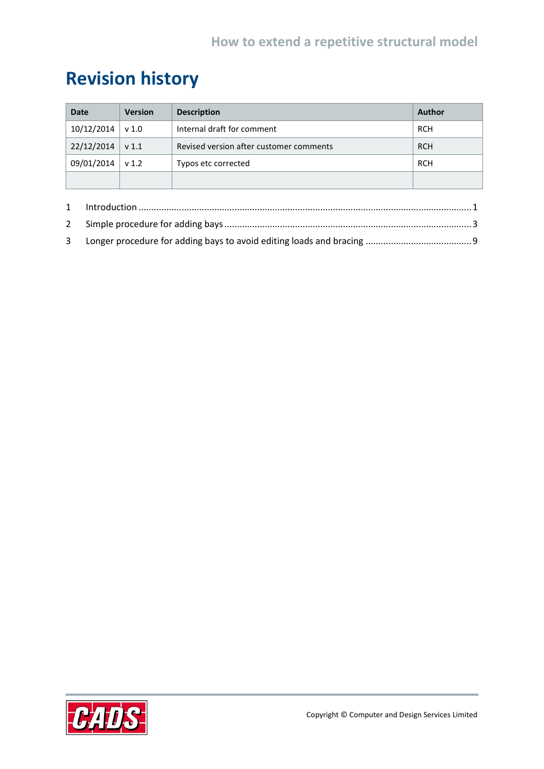## **Revision history**

| <b>Date</b> | <b>Version</b>   | <b>Description</b>                      | <b>Author</b> |
|-------------|------------------|-----------------------------------------|---------------|
| 10/12/2014  | v 1.0            | Internal draft for comment              | <b>RCH</b>    |
| 22/12/2014  | v <sub>1.1</sub> | Revised version after customer comments | <b>RCH</b>    |
| 09/01/2014  | v <sub>1.2</sub> | Typos etc corrected                     | <b>RCH</b>    |
|             |                  |                                         |               |

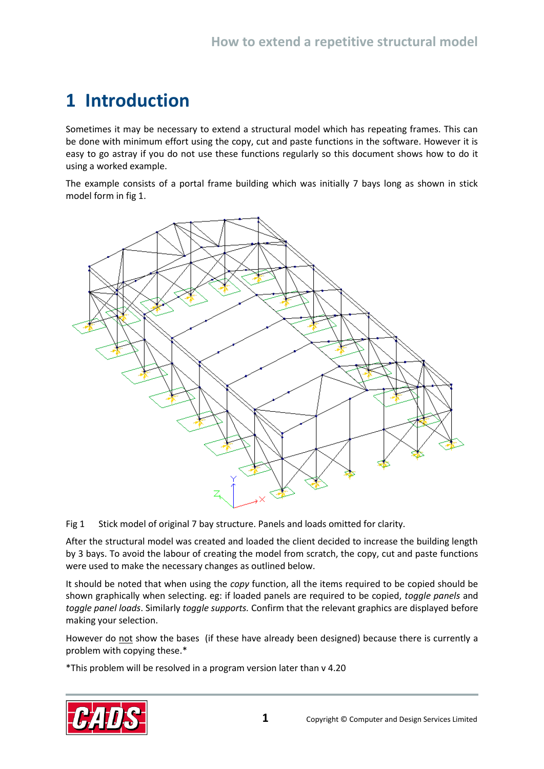### <span id="page-2-0"></span>**1 Introduction**

Sometimes it may be necessary to extend a structural model which has repeating frames. This can be done with minimum effort using the copy, cut and paste functions in the software. However it is easy to go astray if you do not use these functions regularly so this document shows how to do it using a worked example.

The example consists of a portal frame building which was initially 7 bays long as shown in stick model form in fig 1.



Fig 1 Stick model of original 7 bay structure. Panels and loads omitted for clarity.

After the structural model was created and loaded the client decided to increase the building length by 3 bays. To avoid the labour of creating the model from scratch, the copy, cut and paste functions were used to make the necessary changes as outlined below.

It should be noted that when using the *copy* function, all the items required to be copied should be shown graphically when selecting. eg: if loaded panels are required to be copied, *toggle panels* and *toggle panel loads*. Similarly *toggle supports.* Confirm that the relevant graphics are displayed before making your selection.

However do not show the bases (if these have already been designed) because there is currently a problem with copying these.\*

\*This problem will be resolved in a program version later than v 4.20

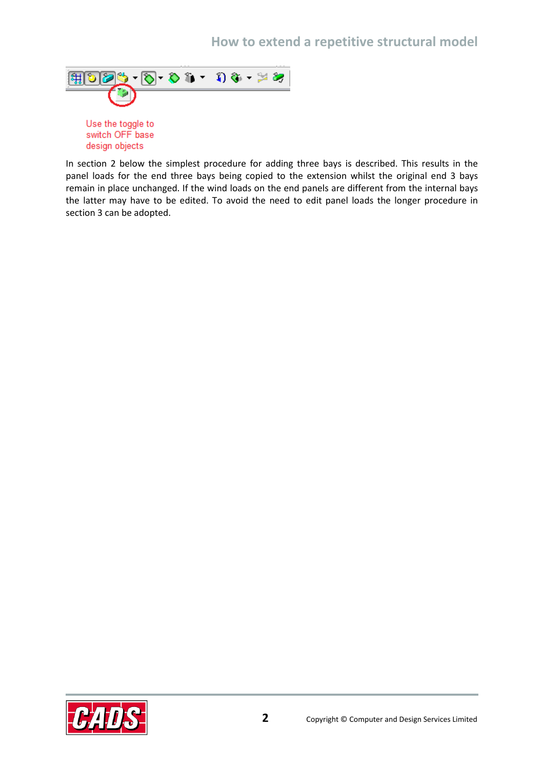#### **How to extend a repetitive structural model**



design objects

In section 2 below the simplest procedure for adding three bays is described. This results in the panel loads for the end three bays being copied to the extension whilst the original end 3 bays remain in place unchanged. If the wind loads on the end panels are different from the internal bays the latter may have to be edited. To avoid the need to edit panel loads the longer procedure in section 3 can be adopted.

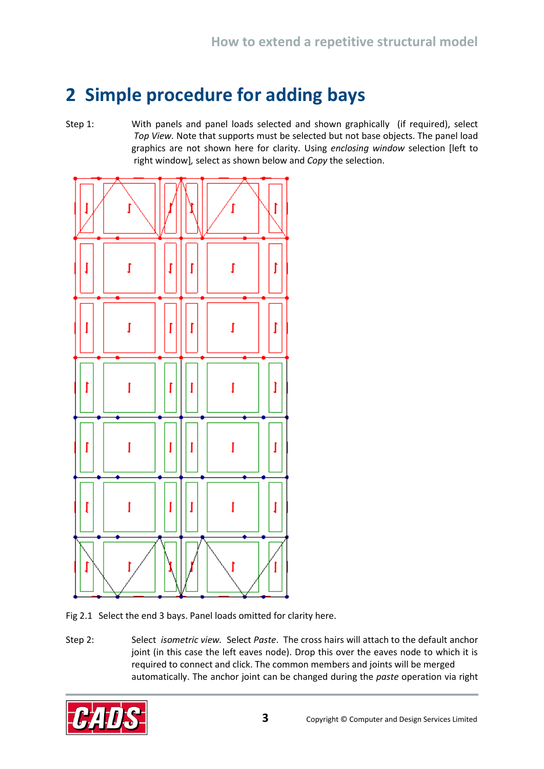### <span id="page-4-0"></span>**2 Simple procedure for adding bays**

Step 1: With panels and panel loads selected and shown graphically (if required), select *Top View.* Note that supports must be selected but not base objects. The panel load graphics are not shown here for clarity. Using *enclosing window* selection [left to right window]*,* select as shown below and *Copy* the selection.



Fig 2.1 Select the end 3 bays. Panel loads omitted for clarity here.

Step 2: Select *isometric view.* Select *Paste*. The cross hairs will attach to the default anchor joint (in this case the left eaves node). Drop this over the eaves node to which it is required to connect and click. The common members and joints will be merged automatically. The anchor joint can be changed during the *paste* operation via right

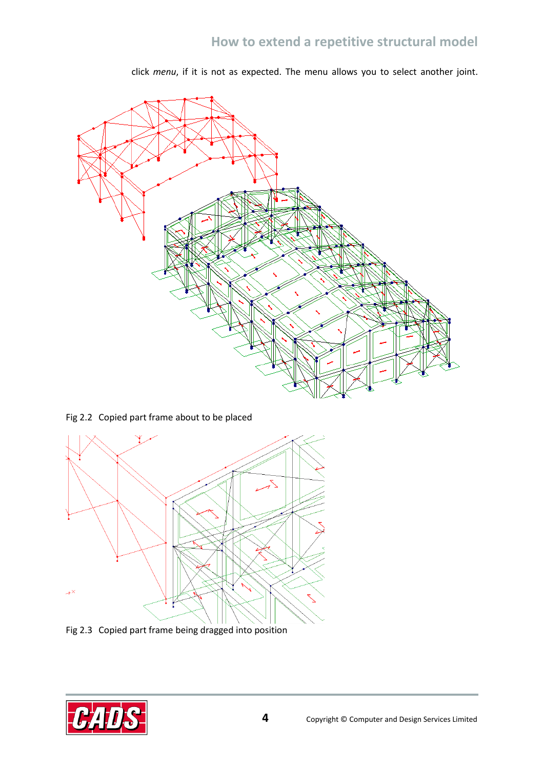click *menu*, if it is not as expected. The menu allows you to select another joint.



Fig 2.2 Copied part frame about to be placed



Fig 2.3 Copied part frame being dragged into position

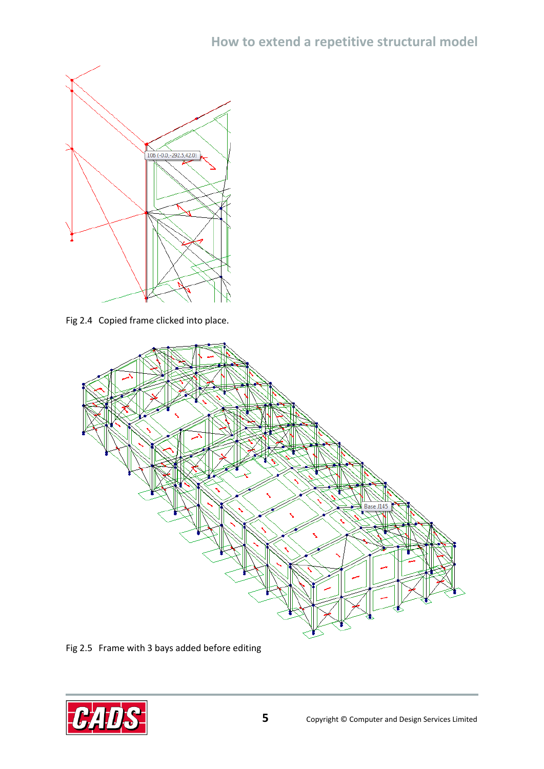

Fig 2.4 Copied frame clicked into place.



Fig 2.5 Frame with 3 bays added before editing

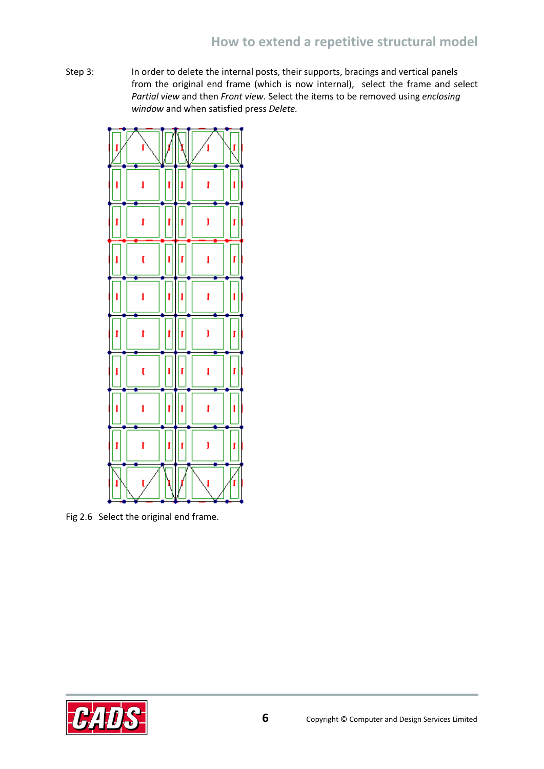Step 3: In order to delete the internal posts, their supports, bracings and vertical panels from the original end frame (which is now internal), select the frame and select *Partial view* and then *Front view.* Select the items to be removed using *enclosing window* and when satisfied press *Delete.*



Fig 2.6 Select the original end frame.

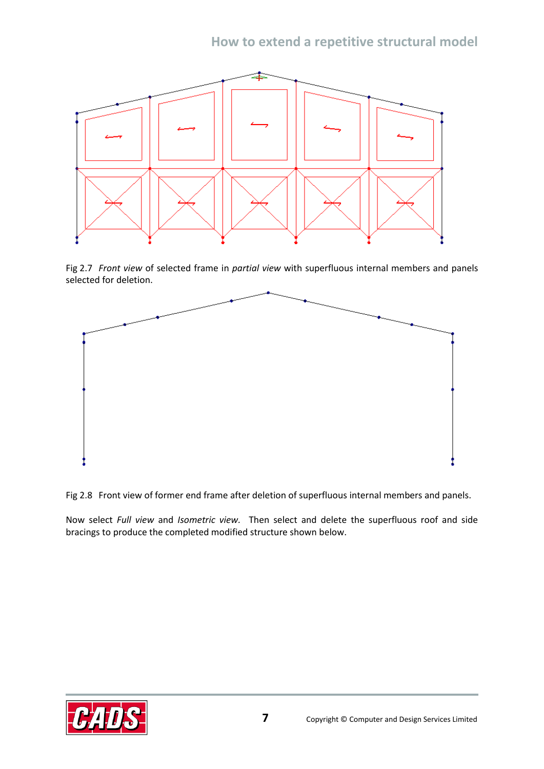

Fig 2.7 *Front view* of selected frame in *partial view* with superfluous internal members and panels selected for deletion.



Fig 2.8 Front view of former end frame after deletion of superfluous internal members and panels.

Now select *Full view* and *Isometric view.* Then select and delete the superfluous roof and side bracings to produce the completed modified structure shown below.

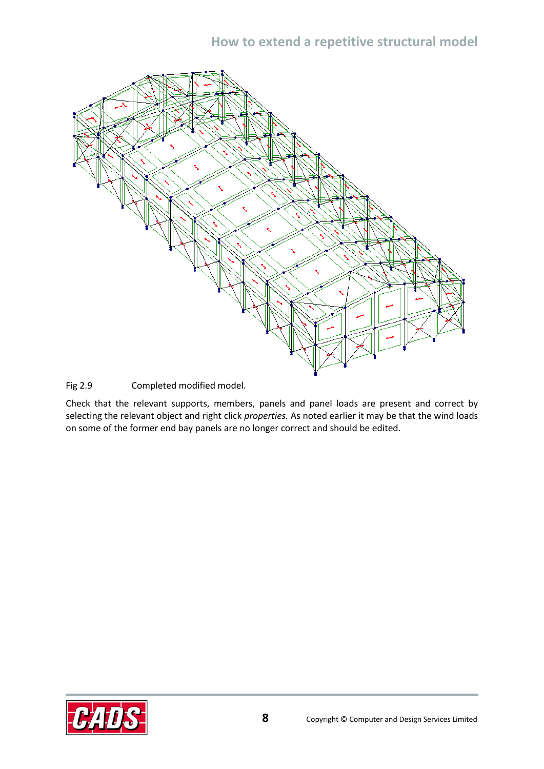#### **How to extend a repetitive structural model**



Fig 2.9 Completed modified model.

Check that the relevant supports, members, panels and panel loads are present and correct by selecting the relevant object and right click *properties.* As noted earlier it may be that the wind loads on some of the former end bay panels are no longer correct and should be edited.

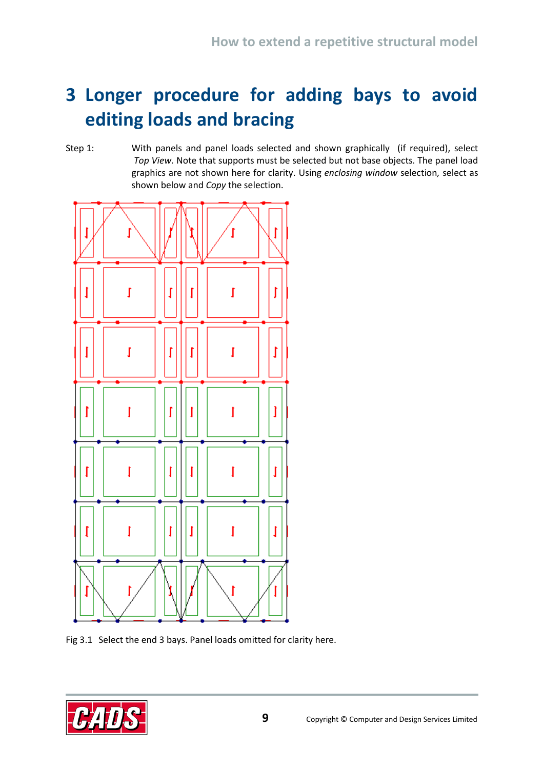# <span id="page-10-0"></span>**3 Longer procedure for adding bays to avoid editing loads and bracing**

Step 1: With panels and panel loads selected and shown graphically (if required), select *Top View.* Note that supports must be selected but not base objects. The panel load graphics are not shown here for clarity. Using *enclosing window* selection*,* select as shown below and *Copy* the selection.



Fig 3.1 Select the end 3 bays. Panel loads omitted for clarity here.

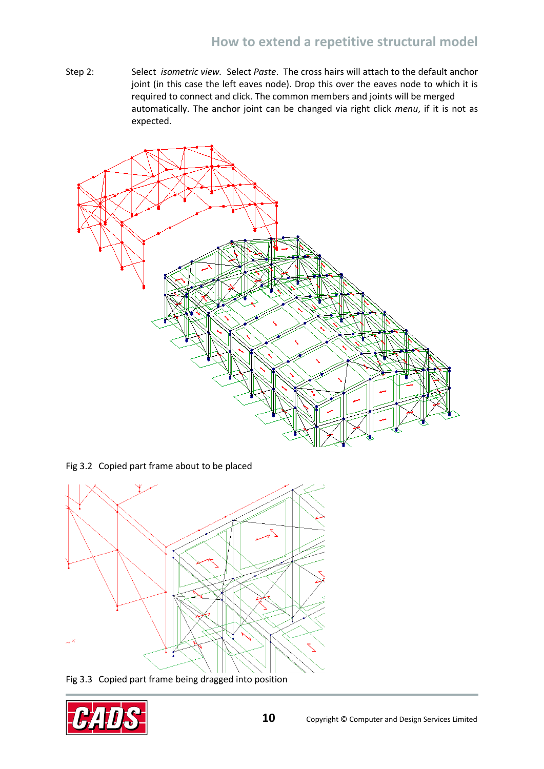Step 2: Select *isometric view.* Select *Paste*. The cross hairs will attach to the default anchor joint (in this case the left eaves node). Drop this over the eaves node to which it is required to connect and click. The common members and joints will be merged automatically. The anchor joint can be changed via right click *menu*, if it is not as expected.



Fig 3.2 Copied part frame about to be placed



Fig 3.3 Copied part frame being dragged into position

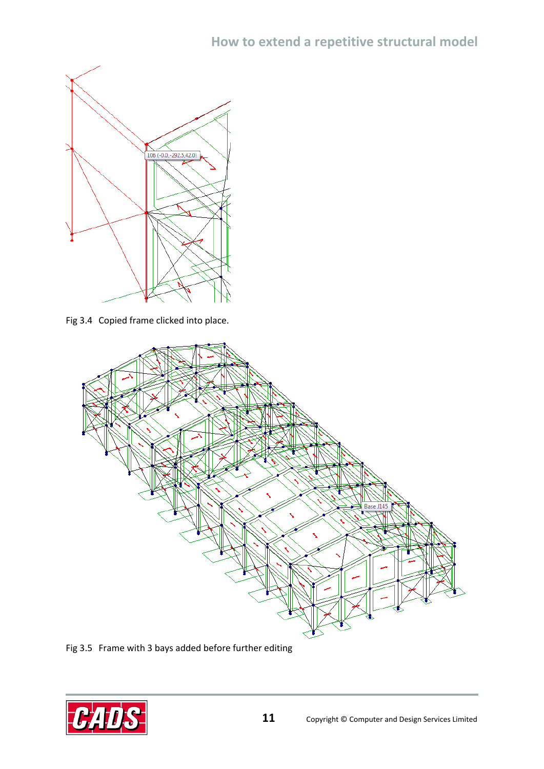

Fig 3.4 Copied frame clicked into place.



Fig 3.5 Frame with 3 bays added before further editing

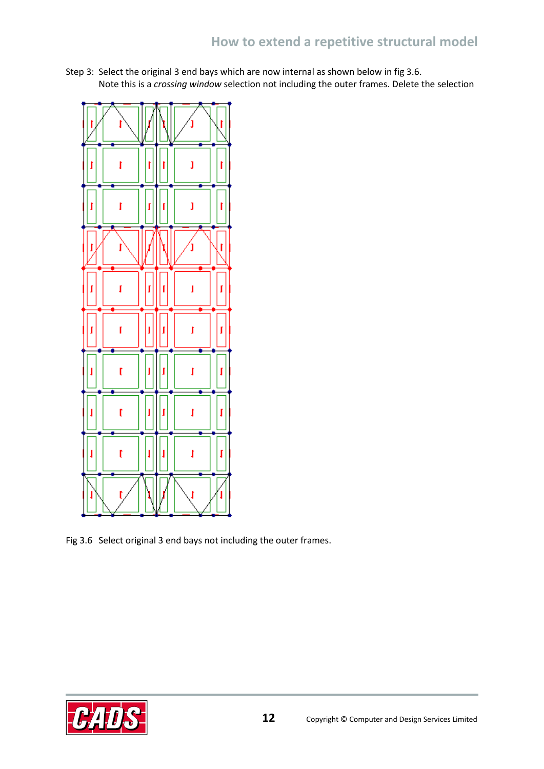Step 3: Select the original 3 end bays which are now internal as shown below in fig 3.6. Note this is a *crossing window* selection not including the outer frames. Delete the selection



Fig 3.6 Select original 3 end bays not including the outer frames.

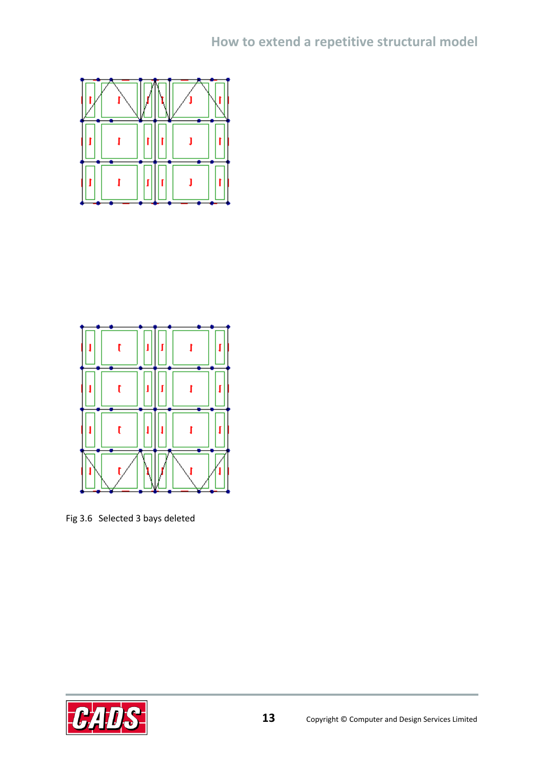



Fig 3.6 Selected 3 bays deleted

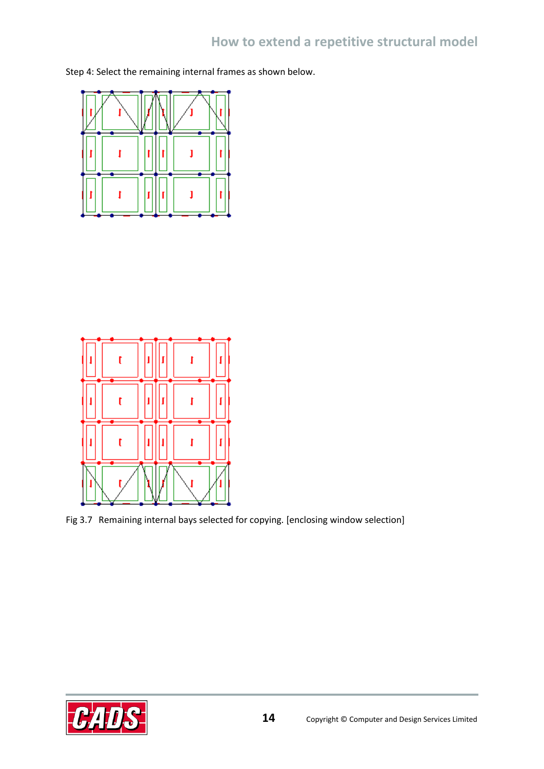Step 4: Select the remaining internal frames as shown below.





Fig 3.7 Remaining internal bays selected for copying. [enclosing window selection]

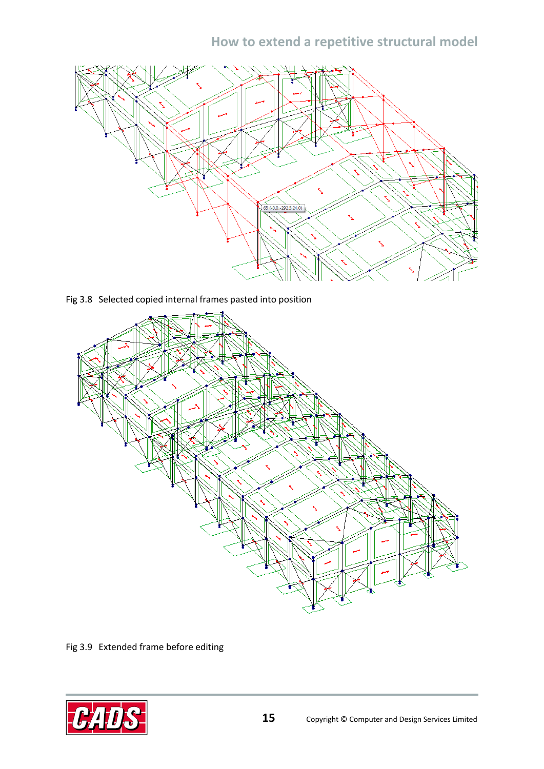#### **How to extend a repetitive structural model**



Fig 3.8 Selected copied internal frames pasted into position



Fig 3.9 Extended frame before editing

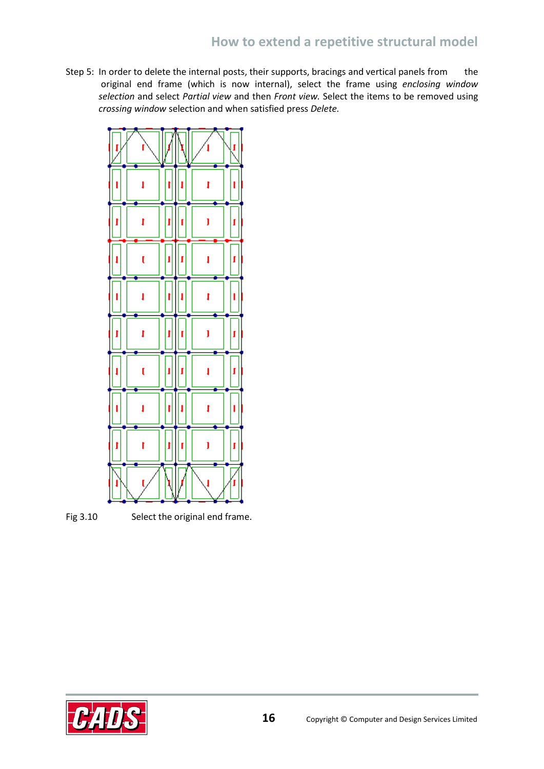Step 5: In order to delete the internal posts, their supports, bracings and vertical panels from the original end frame (which is now internal), select the frame using *enclosing window selection* and select *Partial view* and then *Front view.* Select the items to be removed using *crossing window* selection and when satisfied press *Delete.*





Fig 3.10 Select the original end frame.

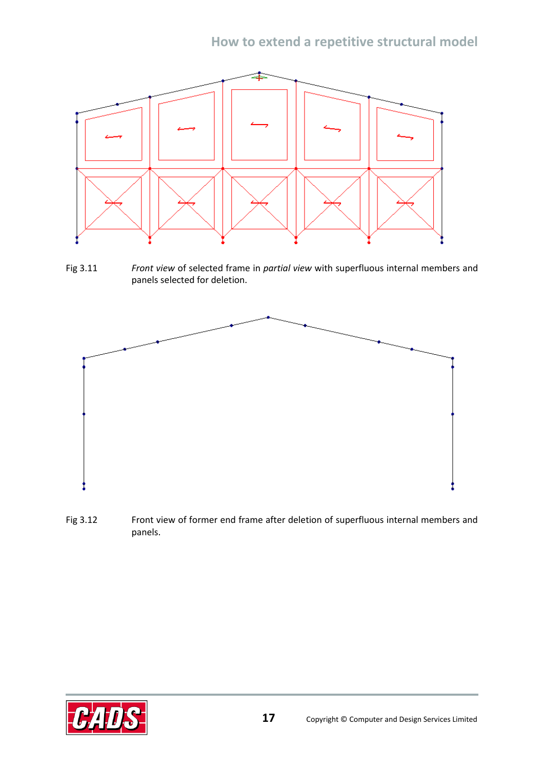

Fig 3.11 *Front view* of selected frame in *partial view* with superfluous internal members and panels selected for deletion.



Fig 3.12 Front view of former end frame after deletion of superfluous internal members and panels.